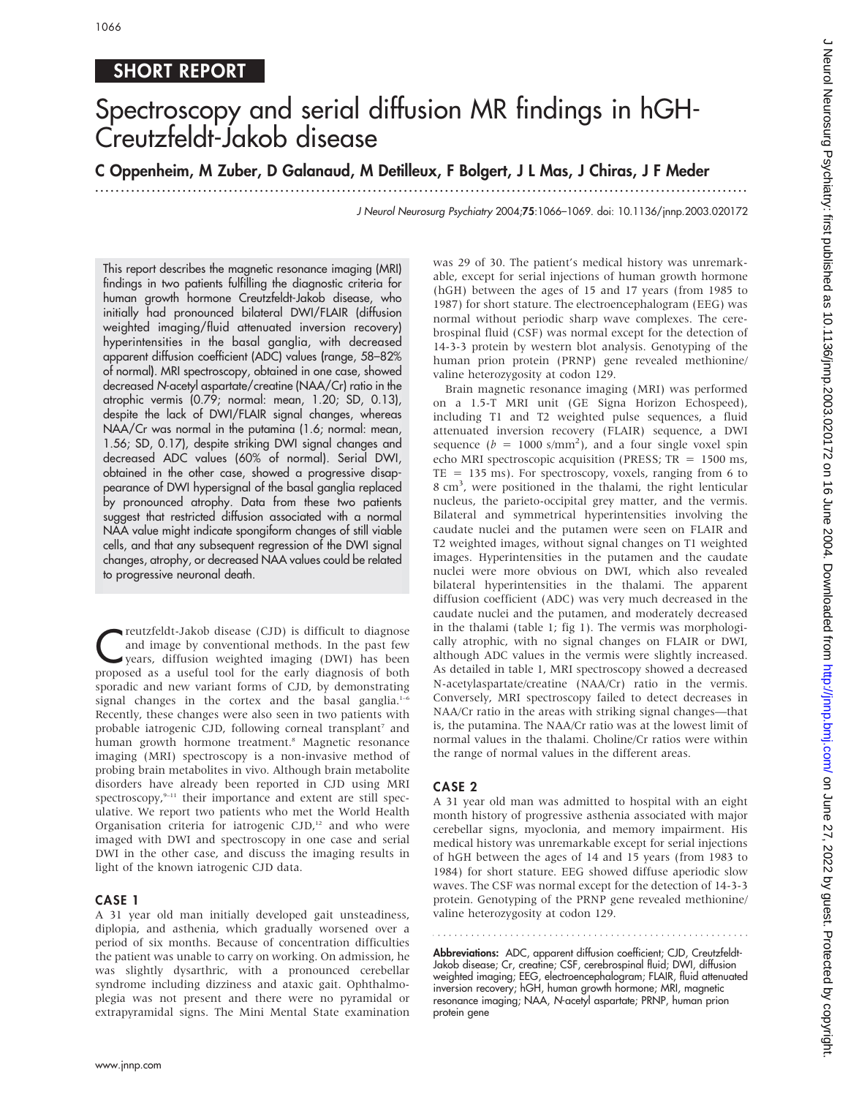# SHORT REPORT

# Spectroscopy and serial diffusion MR findings in hGH-Creutzfeldt-Jakob disease

# C Oppenheim, M Zuber, D Galanaud, M Detilleux, F Bolgert, J L Mas, J Chiras, J F Meder

...............................................................................................................................

J Neurol Neurosurg Psychiatry 2004;75:1066–1069. doi: 10.1136/jnnp.2003.020172

This report describes the magnetic resonance imaging (MRI) findings in two patients fulfilling the diagnostic criteria for human growth hormone Creutzfeldt-Jakob disease, who initially had pronounced bilateral DWI/FLAIR (diffusion weighted imaging/fluid attenuated inversion recovery) hyperintensities in the basal ganglia, with decreased apparent diffusion coefficient (ADC) values (range, 58–82% of normal). MRI spectroscopy, obtained in one case, showed decreased N-acetyl aspartate/creatine (NAA/Cr) ratio in the atrophic vermis (0.79; normal: mean, 1.20; SD, 0.13), despite the lack of DWI/FLAIR signal changes, whereas NAA/Cr was normal in the putamina (1.6; normal: mean, 1.56; SD, 0.17), despite striking DWI signal changes and decreased ADC values (60% of normal). Serial DWI, obtained in the other case, showed a progressive disappearance of DWI hypersignal of the basal ganglia replaced by pronounced atrophy. Data from these two patients suggest that restricted diffusion associated with a normal NAA value might indicate spongiform changes of still viable cells, and that any subsequent regression of the DWI signal changes, atrophy, or decreased NAA values could be related to progressive neuronal death.

**C**reutzfeldt-Jakob disease (CJD) is difficult to diagnose<br>and image by conventional methods. In the past few<br>years, diffusion weighted imaging (DWI) has been<br>prepared as a weakly teel for the exily diagnosis of both and image by conventional methods. In the past few proposed as a useful tool for the early diagnosis of both sporadic and new variant forms of CJD, by demonstrating signal changes in the cortex and the basal ganglia.<sup>1-6</sup> Recently, these changes were also seen in two patients with probable iatrogenic CJD, following corneal transplant<sup>7</sup> and human growth hormone treatment.<sup>8</sup> Magnetic resonance imaging (MRI) spectroscopy is a non-invasive method of probing brain metabolites in vivo. Although brain metabolite disorders have already been reported in CJD using MRI spectroscopy,<sup>9-11</sup> their importance and extent are still speculative. We report two patients who met the World Health Organisation criteria for iatrogenic  $CJD$ ,<sup>12</sup> and who were imaged with DWI and spectroscopy in one case and serial DWI in the other case, and discuss the imaging results in light of the known iatrogenic CJD data.

#### CASE 1

A 31 year old man initially developed gait unsteadiness, diplopia, and asthenia, which gradually worsened over a period of six months. Because of concentration difficulties the patient was unable to carry on working. On admission, he was slightly dysarthric, with a pronounced cerebellar syndrome including dizziness and ataxic gait. Ophthalmoplegia was not present and there were no pyramidal or extrapyramidal signs. The Mini Mental State examination was 29 of 30. The patient's medical history was unremarkable, except for serial injections of human growth hormone (hGH) between the ages of 15 and 17 years (from 1985 to 1987) for short stature. The electroencephalogram (EEG) was normal without periodic sharp wave complexes. The cerebrospinal fluid (CSF) was normal except for the detection of 14-3-3 protein by western blot analysis. Genotyping of the human prion protein (PRNP) gene revealed methionine/ valine heterozygosity at codon 129.

Brain magnetic resonance imaging (MRI) was performed on a 1.5-T MRI unit (GE Signa Horizon Echospeed), including T1 and T2 weighted pulse sequences, a fluid attenuated inversion recovery (FLAIR) sequence, a DWI sequence ( $b = 1000$  s/mm<sup>2</sup>), and a four single voxel spin echo MRI spectroscopic acquisition (PRESS; TR = 1500 ms, TE = 135 ms). For spectroscopy, voxels, ranging from 6 to 8 cm<sup>3</sup>, were positioned in the thalami, the right lenticular nucleus, the parieto-occipital grey matter, and the vermis. Bilateral and symmetrical hyperintensities involving the caudate nuclei and the putamen were seen on FLAIR and T2 weighted images, without signal changes on T1 weighted images. Hyperintensities in the putamen and the caudate nuclei were more obvious on DWI, which also revealed bilateral hyperintensities in the thalami. The apparent diffusion coefficient (ADC) was very much decreased in the caudate nuclei and the putamen, and moderately decreased in the thalami (table 1; fig 1). The vermis was morphologically atrophic, with no signal changes on FLAIR or DWI, although ADC values in the vermis were slightly increased. As detailed in table 1, MRI spectroscopy showed a decreased N-acetylaspartate/creatine (NAA/Cr) ratio in the vermis. Conversely, MRI spectroscopy failed to detect decreases in NAA/Cr ratio in the areas with striking signal changes—that is, the putamina. The NAA/Cr ratio was at the lowest limit of normal values in the thalami. Choline/Cr ratios were within the range of normal values in the different areas.

#### CASE 2

A 31 year old man was admitted to hospital with an eight month history of progressive asthenia associated with major cerebellar signs, myoclonia, and memory impairment. His medical history was unremarkable except for serial injections of hGH between the ages of 14 and 15 years (from 1983 to 1984) for short stature. EEG showed diffuse aperiodic slow waves. The CSF was normal except for the detection of 14-3-3 protein. Genotyping of the PRNP gene revealed methionine/ valine heterozygosity at codon 129.

Abbreviations: ADC, apparent diffusion coefficient; CJD, Creutzfeldt-Jakob disease; Cr, creatine; CSF, cerebrospinal fluid; DWI, diffusion weighted imaging; EEG, electroencephalogram; FLAIR, fluid attenuated inversion recovery; hGH, human growth hormone; MRI, magnetic resonance imaging; NAA, N-acetyl aspartate; PRNP, human prion protein gene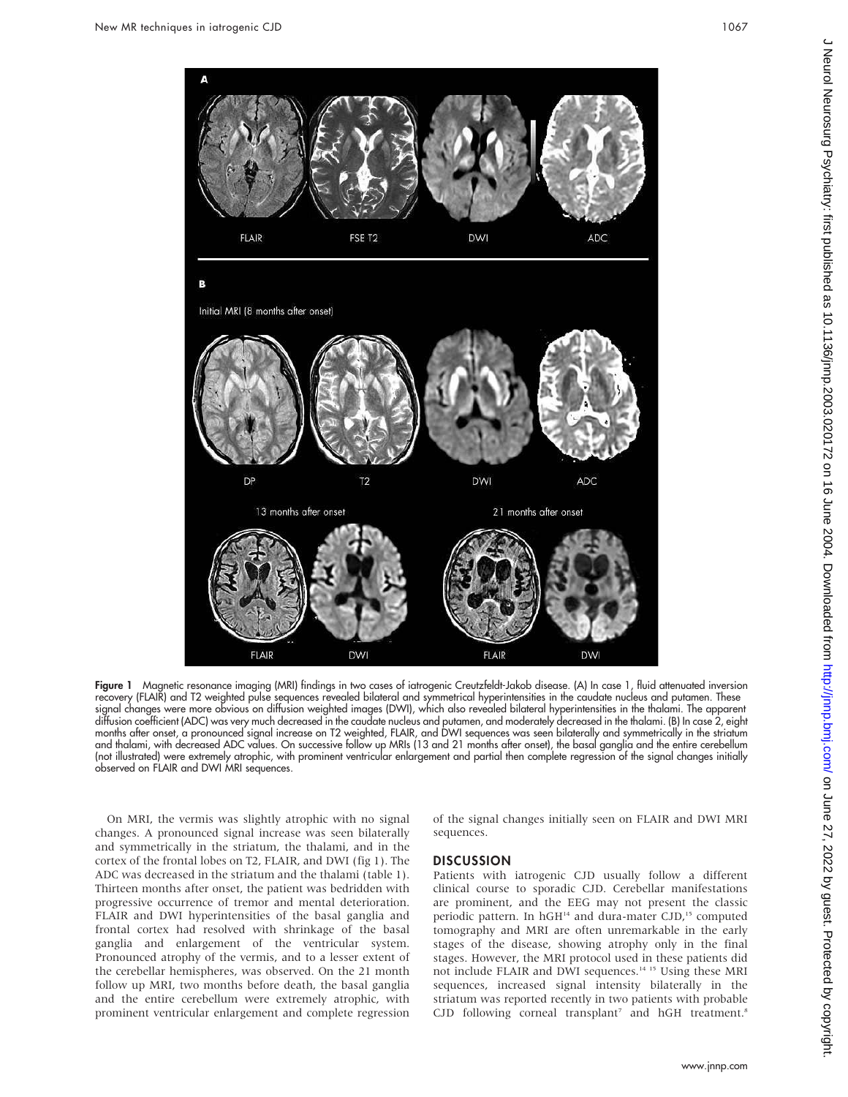

Figure 1 Magnetic resonance imaging (MRI) findings in two cases of iatrogenic Creutzfeldt-Jakob disease. (A) In case 1, fluid attenuated inversion recovery (FLAIR) and T2 weighted pulse sequences revealed bilateral and symmetrical hyperintensities in the caudate nucleus and putamen. These signal changes were more obvious on diffusion weighted images (DWI), which also revealed bilateral hyperintensities in the thalami. The apparent diffusion coefficient (ADC) was very much decreased in the caudate nucleus and putamen, and moderately decreased in the thalami. (B) In case 2, eight months after onset, a pronounced signal increase on T2 weighted, FLAIR, and DWI sequences was seen bilaterally and symmetrically in the striatum and thalami, with decreased ADC values. On successive follow up MRIs (13 and 21 months after onset), the basal ganglia and the entire cerebellum (not illustrated) were extremely atrophic, with prominent ventricular enlargement and partial then complete regression of the signal changes initially observed on FLAIR and DWI MRI sequences.

On MRI, the vermis was slightly atrophic with no signal changes. A pronounced signal increase was seen bilaterally and symmetrically in the striatum, the thalami, and in the cortex of the frontal lobes on T2, FLAIR, and DWI (fig 1). The ADC was decreased in the striatum and the thalami (table 1). Thirteen months after onset, the patient was bedridden with progressive occurrence of tremor and mental deterioration. FLAIR and DWI hyperintensities of the basal ganglia and frontal cortex had resolved with shrinkage of the basal ganglia and enlargement of the ventricular system. Pronounced atrophy of the vermis, and to a lesser extent of the cerebellar hemispheres, was observed. On the 21 month follow up MRI, two months before death, the basal ganglia and the entire cerebellum were extremely atrophic, with prominent ventricular enlargement and complete regression of the signal changes initially seen on FLAIR and DWI MRI sequences.

#### **DISCUSSION**

Patients with iatrogenic CJD usually follow a different clinical course to sporadic CJD. Cerebellar manifestations are prominent, and the EEG may not present the classic periodic pattern. In  $hGH<sup>14</sup>$  and dura-mater CJD,<sup>15</sup> computed tomography and MRI are often unremarkable in the early stages of the disease, showing atrophy only in the final stages. However, the MRI protocol used in these patients did not include FLAIR and DWI sequences.14 15 Using these MRI sequences, increased signal intensity bilaterally in the striatum was reported recently in two patients with probable  $CJD$  following corneal transplant<sup>7</sup> and hGH treatment.<sup>8</sup>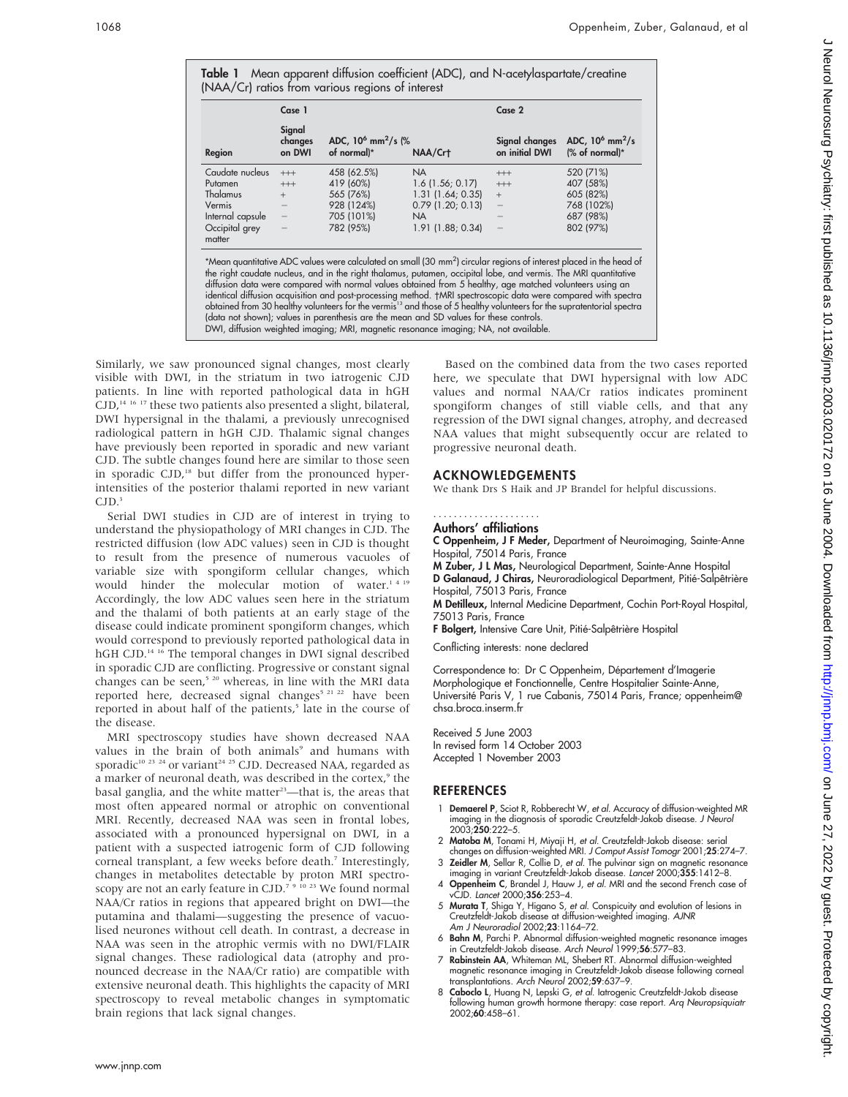|  | Table 1 Mean apparent diffusion coefficient (ADC), and N-acetylaspartate/creatine |
|--|-----------------------------------------------------------------------------------|
|  | (NAA/Cr) ratios from various regions of interest                                  |

|                          | Case 1                      |                                                                                                                                                                                                                                                                                                                                                                                                                                                                                                                                                                                                                                                                                                                 | Case 2              |                                  |                                                   |
|--------------------------|-----------------------------|-----------------------------------------------------------------------------------------------------------------------------------------------------------------------------------------------------------------------------------------------------------------------------------------------------------------------------------------------------------------------------------------------------------------------------------------------------------------------------------------------------------------------------------------------------------------------------------------------------------------------------------------------------------------------------------------------------------------|---------------------|----------------------------------|---------------------------------------------------|
| Region                   | Signal<br>changes<br>on DWI | ADC, $10^6$ mm <sup>2</sup> /s (%)<br>of normal)*                                                                                                                                                                                                                                                                                                                                                                                                                                                                                                                                                                                                                                                               | NAA/Crt             | Signal changes<br>on initial DWI | ADC, $10^6$ mm <sup>2</sup> /s<br>$%$ of normal)* |
| Caudate nucleus          | $^{+++}$                    | 458 (62.5%)                                                                                                                                                                                                                                                                                                                                                                                                                                                                                                                                                                                                                                                                                                     | <b>NA</b>           | $+++$                            | 520 (71%)                                         |
| Putamen                  | $+++$                       | 419 (60%)                                                                                                                                                                                                                                                                                                                                                                                                                                                                                                                                                                                                                                                                                                       | $1.6$ (1.56; 0.17)  | $^{+++}$                         | 407 (58%)                                         |
| Thalamus                 | $+$                         | 565 (76%)                                                                                                                                                                                                                                                                                                                                                                                                                                                                                                                                                                                                                                                                                                       | 1.31(1.64; 0.35)    | $+$                              | 605 (82%)                                         |
| Vermis                   |                             | 928 (124%)                                                                                                                                                                                                                                                                                                                                                                                                                                                                                                                                                                                                                                                                                                      | $0.79$ (1.20; 0.13) | $\qquad -$                       | 768 (102%)                                        |
| Internal capsule         |                             | 705 (101%)                                                                                                                                                                                                                                                                                                                                                                                                                                                                                                                                                                                                                                                                                                      | NA.                 |                                  | 687 (98%)                                         |
| Occipital grey<br>matter |                             | 782 (95%)                                                                                                                                                                                                                                                                                                                                                                                                                                                                                                                                                                                                                                                                                                       | 1.91 (1.88; 0.34)   |                                  | 802 (97%)                                         |
|                          |                             | *Mean quantitative ADC values were calculated on small (30 mm <sup>2</sup> ) circular regions of interest placed in the head of<br>the right caudate nucleus, and in the right thalamus, putamen, occipital lobe, and vermis. The MRI quantitative<br>diffusion data were compared with normal values obtained from 5 healthy, age matched volunteers using an<br>identical diffusion acquisition and post-processing method. †MRI spectroscopic data were compared with spectra<br>obtained from 30 healthy volunteers for the vermis <sup>13</sup> and those of 5 healthy volunteers for the supratentorial spectra<br>(data not shown); values in parenthesis are the mean and SD values for these controls. |                     |                                  |                                                   |

DWI, diffusion weighted imaging; MRI, magnetic resonance imaging; NA, not available.

Similarly, we saw pronounced signal changes, most clearly visible with DWI, in the striatum in two iatrogenic CJD patients. In line with reported pathological data in hGH  $CJD$ ,<sup>14 16</sup> <sup>17</sup> these two patients also presented a slight, bilateral, DWI hypersignal in the thalami, a previously unrecognised radiological pattern in hGH CJD. Thalamic signal changes have previously been reported in sporadic and new variant CJD. The subtle changes found here are similar to those seen in sporadic CJD,<sup>18</sup> but differ from the pronounced hyperintensities of the posterior thalami reported in new variant  $CJD.<sup>3</sup>$ 

Serial DWI studies in CJD are of interest in trying to understand the physiopathology of MRI changes in CJD. The restricted diffusion (low ADC values) seen in CJD is thought to result from the presence of numerous vacuoles of variable size with spongiform cellular changes, which would hinder the molecular motion of water.<sup>14 19</sup> Accordingly, the low ADC values seen here in the striatum and the thalami of both patients at an early stage of the disease could indicate prominent spongiform changes, which would correspond to previously reported pathological data in hGH CJD.<sup>14 16</sup> The temporal changes in DWI signal described in sporadic CJD are conflicting. Progressive or constant signal changes can be seen,<sup>5 20</sup> whereas, in line with the MRI data reported here, decreased signal changes<sup>5 21 22</sup> have been reported in about half of the patients,<sup>5</sup> late in the course of the disease.

MRI spectroscopy studies have shown decreased NAA values in the brain of both animals<sup>9</sup> and humans with sporadic<sup>10 23 24</sup> or variant<sup>24 25</sup> CJD. Decreased NAA, regarded as a marker of neuronal death, was described in the cortex,<sup>9</sup> the basal ganglia, and the white matter<sup>23</sup>—that is, the areas that most often appeared normal or atrophic on conventional MRI. Recently, decreased NAA was seen in frontal lobes, associated with a pronounced hypersignal on DWI, in a patient with a suspected iatrogenic form of CJD following corneal transplant, a few weeks before death.<sup>7</sup> Interestingly, changes in metabolites detectable by proton MRI spectroscopy are not an early feature in CJD.<sup>7 9 10 23</sup> We found normal NAA/Cr ratios in regions that appeared bright on DWI—the putamina and thalami—suggesting the presence of vacuolised neurones without cell death. In contrast, a decrease in NAA was seen in the atrophic vermis with no DWI/FLAIR signal changes. These radiological data (atrophy and pronounced decrease in the NAA/Cr ratio) are compatible with extensive neuronal death. This highlights the capacity of MRI spectroscopy to reveal metabolic changes in symptomatic brain regions that lack signal changes.

Based on the combined data from the two cases reported here, we speculate that DWI hypersignal with low ADC values and normal NAA/Cr ratios indicates prominent spongiform changes of still viable cells, and that any regression of the DWI signal changes, atrophy, and decreased NAA values that might subsequently occur are related to progressive neuronal death.

# ACKNOWLEDGEMENTS

We thank Drs S Haik and JP Brandel for helpful discussions.

#### .....................

### Authors' affiliations

C Oppenheim, J F Meder, Department of Neuroimaging, Sainte-Anne Hospital, 75014 Paris, France

M Zuber, J L Mas, Neurological Department, Sainte-Anne Hospital D Galanaud, J Chiras, Neuroradiological Department, Pitié-Salpêtrière Hospital, 75013 Paris, France

M Detilleux, Internal Medicine Department, Cochin Port-Royal Hospital, 75013 Paris, France

F Bolgert, Intensive Care Unit, Pitié-Salpêtrière Hospital

Conflicting interests: none declared

Correspondence to: Dr C Oppenheim, Département d'Imagerie Morphologique et Fonctionnelle, Centre Hospitalier Sainte-Anne, Université Paris V, 1 rue Cabanis, 75014 Paris, France; oppenheim@ chsa.broca.inserm.fr

Received 5 June 2003 In revised form 14 October 2003 Accepted 1 November 2003

# REFERENCES

- 1 Demaerel P, Sciot R, Robberecht W, et al. Accuracy of diffusion-weighted MR imaging in the diagnosis of sporadic Creutzfeldt-Jakob disease. J Neurol 2003;250:222–5.
- 2 Matoba M, Tonami H, Miyaji H, et al. Creutzfeldt-Jakob disease: serial changes on diffusion-weighted MRI. J Comput Assist Tomogr 2001;25:274–7.
- 3 Zeidler M, Sellar R, Collie D, et al. The pulvinar sign on magnetic resonance imaging in variant Creutzfeldt-Jakob disease. Lancet 2000;355:1412–8. 4 Oppenheim C, Brandel J, Hauw J, et al. MRI and the second French case of
- vCJD. Lancet 2000;356:253–4. 5 Murata T, Shiga Y, Higano S, et al. Conspicuity and evolution of lesions in Creutzfeldt-Jakob disease at diffusion-weighted imaging. AJNR
- Am J Neuroradiol 2002;23:1164–72. 6 Bahn M, Parchi P. Abnormal diffusion-weighted magnetic resonance images
- in Creutzfeldt-Jakob disease. Arch Neurol 1999;56:577–83. 7 Rabinstein AA, Whiteman ML, Shebert RT. Abnormal diffusion-weighted magnetic resonance imaging in Creutzfeldt-Jakob disease following corneal
- transplantations. Arch Neurol 2002;59:637–9. 8 Caboclo L, Huang N, Lepski G, et al. Iatrogenic Creutzfeldt-Jakob disease
- tollowing human growth hormone therapy: case report. *Arq Neuropsiquiatr*<br>2002;**60**:458–61.